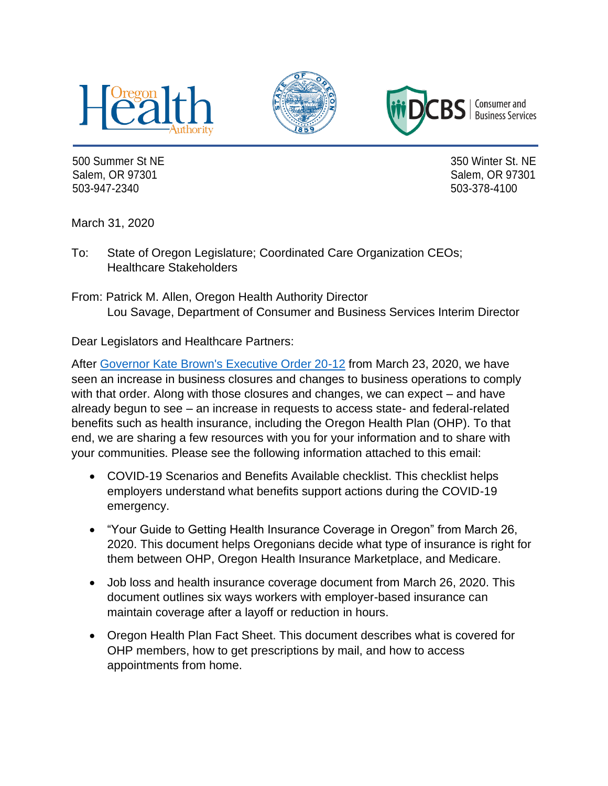





Consumer and **Business Services** 

500 Summer St NE 350 Winter St. NE Salem, OR 97301 Salem, OR 97301 503-947-2340 503-378-4100

March 31, 2020

To: State of Oregon Legislature; Coordinated Care Organization CEOs; Healthcare Stakeholders

From: Patrick M. Allen, Oregon Health Authority Director Lou Savage, Department of Consumer and Business Services Interim Director

Dear Legislators and Healthcare Partners:

After [Governor Kate Brown's Executive Order 20-12](https://govsite-assets.s3.amazonaws.com/jkAULYKcSh6DoDF8wBM0_EO%2020-12.pdf) from March 23, 2020, we have seen an increase in business closures and changes to business operations to comply with that order. Along with those closures and changes, we can expect – and have already begun to see – an increase in requests to access state- and federal-related benefits such as health insurance, including the Oregon Health Plan (OHP). To that end, we are sharing a few resources with you for your information and to share with your communities. Please see the following information attached to this email:

- COVID-19 Scenarios and Benefits Available checklist. This checklist helps employers understand what benefits support actions during the COVID-19 emergency.
- "Your Guide to Getting Health Insurance Coverage in Oregon" from March 26, 2020. This document helps Oregonians decide what type of insurance is right for them between OHP, Oregon Health Insurance Marketplace, and Medicare.
- Job loss and health insurance coverage document from March 26, 2020. This document outlines six ways workers with employer-based insurance can maintain coverage after a layoff or reduction in hours.
- Oregon Health Plan Fact Sheet. This document describes what is covered for OHP members, how to get prescriptions by mail, and how to access appointments from home.